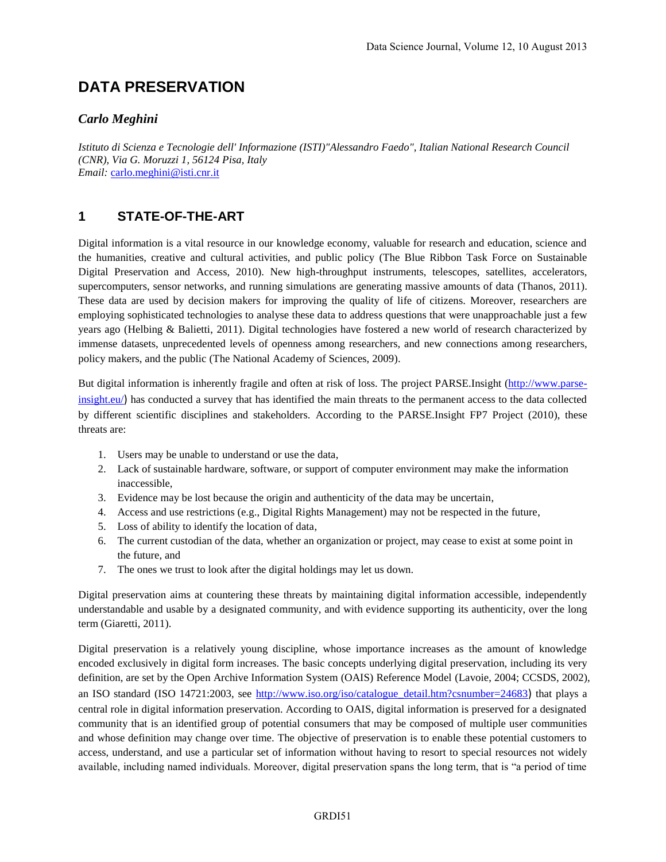# **DATA PRESERVATION**

#### *Carlo Meghini*

*Istituto di Scienza e Tecnologie dell' Informazione (ISTI)"Alessandro Faedo", Italian National Research Council (CNR), Via G. Moruzzi 1, 56124 Pisa, Italy Email:* [carlo.meghini@isti.cnr.it](mailto:carlo.meghini@isti.cnr.it)

### **1 STATE-OF-THE-ART**

Digital information is a vital resource in our knowledge economy, valuable for research and education, science and the humanities, creative and cultural activities, and public policy (The Blue Ribbon Task Force on Sustainable Digital Preservation and Access, 2010). New high-throughput instruments, telescopes, satellites, accelerators, supercomputers, sensor networks, and running simulations are generating massive amounts of data (Thanos, 2011). These data are used by decision makers for improving the quality of life of citizens. Moreover, researchers are employing sophisticated technologies to analyse these data to address questions that were unapproachable just a few years ago (Helbing & Balietti, 2011). Digital technologies have fostered a new world of research characterized by immense datasets, unprecedented levels of openness among researchers, and new connections among researchers, policy makers, and the public (The National Academy of Sciences, 2009).

But digital information is inherently fragile and often at risk of loss. The project PARSE.Insight [\(http://www.parse](http://www.parse-insight.eu/)[insight.eu/](http://www.parse-insight.eu/)) has conducted a survey that has identified the main threats to the permanent access to the data collected by different scientific disciplines and stakeholders. According to the PARSE.Insight FP7 Project (2010), these threats are:

- 1. Users may be unable to understand or use the data,
- 2. Lack of sustainable hardware, software, or support of computer environment may make the information inaccessible,
- 3. Evidence may be lost because the origin and authenticity of the data may be uncertain,
- 4. Access and use restrictions (e.g., Digital Rights Management) may not be respected in the future,
- 5. Loss of ability to identify the location of data,
- 6. The current custodian of the data, whether an organization or project, may cease to exist at some point in the future, and
- 7. The ones we trust to look after the digital holdings may let us down.

Digital preservation aims at countering these threats by maintaining digital information accessible, independently understandable and usable by a designated community, and with evidence supporting its authenticity, over the long term (Giaretti, 2011).

Digital preservation is a relatively young discipline, whose importance increases as the amount of knowledge encoded exclusively in digital form increases. The basic concepts underlying digital preservation, including its very definition, are set by the Open Archive Information System (OAIS) Reference Model (Lavoie, 2004; CCSDS, 2002), an ISO standard (ISO 14721:2003, see [http://www.iso.org/iso/catalogue\\_detail.htm?csnumber=24683](http://www.iso.org/iso/catalogue_detail.htm?csnumber=24683)) that plays a central role in digital information preservation. According to OAIS, digital information is preserved for a designated community that is an identified group of potential consumers that may be composed of multiple user communities and whose definition may change over time. The objective of preservation is to enable these potential customers to access, understand, and use a particular set of information without having to resort to special resources not widely available, including named individuals. Moreover, digital preservation spans the long term, that is "a period of time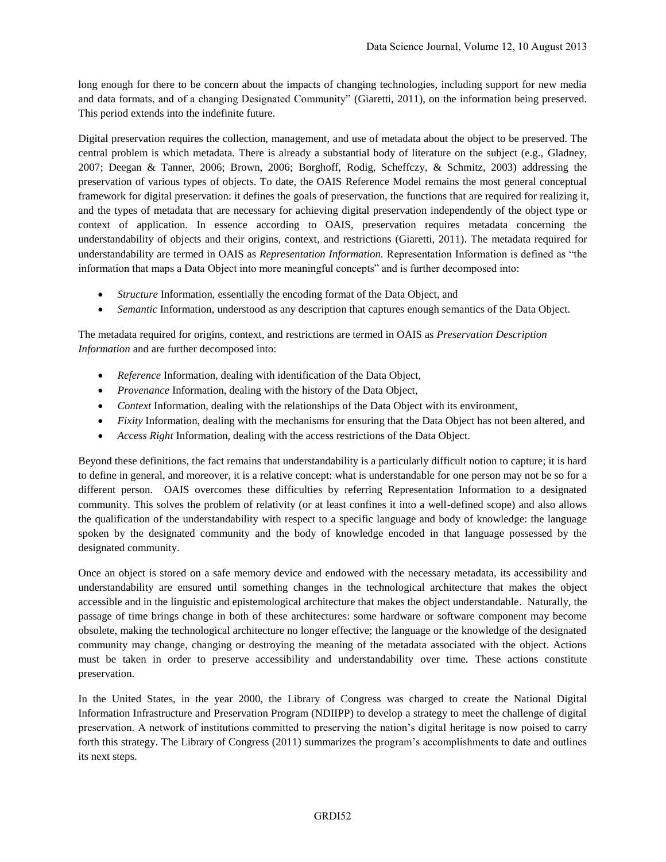long enough for there to be concern about the impacts of changing technologies, including support for new media and data formats, and of a changing Designated Community" (Giaretti, 2011), on the information being preserved. This period extends into the indefinite future.

Digital preservation requires the collection, management, and use of metadata about the object to be preserved. The central problem is which metadata. There is already a substantial body of literature on the subject (e.g., Gladney, 2007; Deegan & Tanner, 2006; Brown, 2006; Borghoff, Rodig, Scheffczy, & Schmitz, 2003) addressing the preservation of various types of objects. To date, the OAIS Reference Model remains the most general conceptual framework for digital preservation: it defines the goals of preservation, the functions that are required for realizing it, and the types of metadata that are necessary for achieving digital preservation independently of the object type or context of application. In essence according to OAIS, preservation requires metadata concerning the understandability of objects and their origins, context, and restrictions (Giaretti, 2011). The metadata required for understandability are termed in OAIS as *Representation Information.* Representation Information is defined as "the information that maps a Data Object into more meaningful concepts" and is further decomposed into:

- *Structure* Information, essentially the encoding format of the Data Object, and
- *Semantic* Information, understood as any description that captures enough semantics of the Data Object.

The metadata required for origins, context, and restrictions are termed in OAIS as *Preservation Description Information* and are further decomposed into:

- *Reference* Information, dealing with identification of the Data Object,
- *Provenance* Information, dealing with the history of the Data Object,
- *Context* Information, dealing with the relationships of the Data Object with its environment,
- *Fixity* Information, dealing with the mechanisms for ensuring that the Data Object has not been altered, and
- *Access Right* Information, dealing with the access restrictions of the Data Object.

Beyond these definitions, the fact remains that understandability is a particularly difficult notion to capture; it is hard to define in general, and moreover, it is a relative concept: what is understandable for one person may not be so for a different person. OAIS overcomes these difficulties by referring Representation Information to a designated community. This solves the problem of relativity (or at least confines it into a well-defined scope) and also allows the qualification of the understandability with respect to a specific language and body of knowledge: the language spoken by the designated community and the body of knowledge encoded in that language possessed by the designated community.

Once an object is stored on a safe memory device and endowed with the necessary metadata, its accessibility and understandability are ensured until something changes in the technological architecture that makes the object accessible and in the linguistic and epistemological architecture that makes the object understandable. Naturally, the passage of time brings change in both of these architectures: some hardware or software component may become obsolete, making the technological architecture no longer effective; the language or the knowledge of the designated community may change, changing or destroying the meaning of the metadata associated with the object. Actions must be taken in order to preserve accessibility and understandability over time. These actions constitute preservation.

In the United States, in the year 2000, the Library of Congress was charged to create the National Digital Information Infrastructure and Preservation Program (NDIIPP) to develop a strategy to meet the challenge of digital preservation. A network of institutions committed to preserving the nation's digital heritage is now poised to carry forth this strategy. The Library of Congress (2011) summarizes the program's accomplishments to date and outlines its next steps.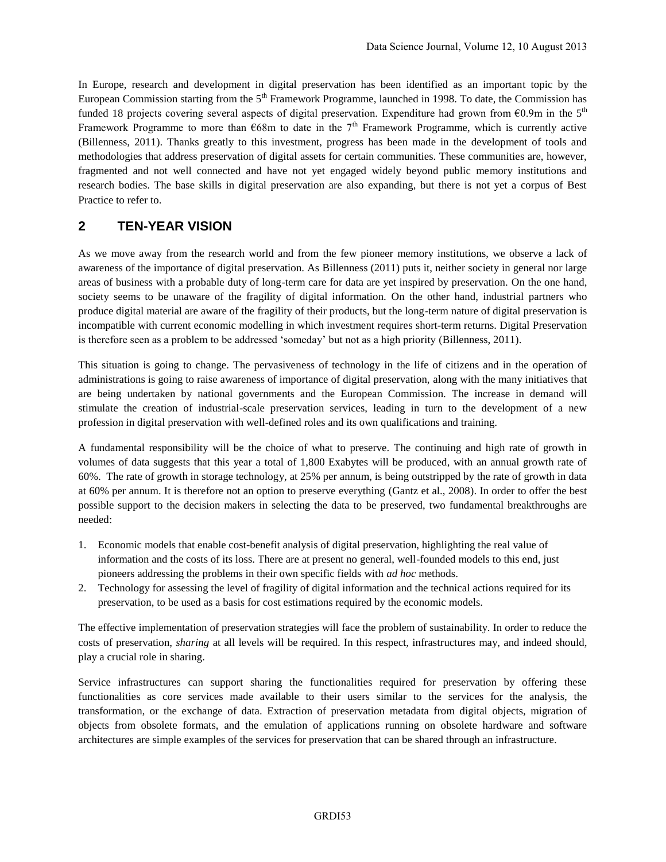In Europe, research and development in digital preservation has been identified as an important topic by the European Commission starting from the  $5<sup>th</sup>$  Framework Programme, launched in 1998. To date, the Commission has funded 18 projects covering several aspects of digital preservation. Expenditure had grown from  $\epsilon$ 0.9m in the 5<sup>th</sup> Framework Programme to more than  $668m$  to date in the 7<sup>th</sup> Framework Programme, which is currently active (Billenness, 2011). Thanks greatly to this investment, progress has been made in the development of tools and methodologies that address preservation of digital assets for certain communities. These communities are, however, fragmented and not well connected and have not yet engaged widely beyond public memory institutions and research bodies. The base skills in digital preservation are also expanding, but there is not yet a corpus of Best Practice to refer to.

### **2 TEN-YEAR VISION**

As we move away from the research world and from the few pioneer memory institutions, we observe a lack of awareness of the importance of digital preservation. As Billenness (2011) puts it, neither society in general nor large areas of business with a probable duty of long-term care for data are yet inspired by preservation. On the one hand, society seems to be unaware of the fragility of digital information. On the other hand, industrial partners who produce digital material are aware of the fragility of their products, but the long-term nature of digital preservation is incompatible with current economic modelling in which investment requires short-term returns. Digital Preservation is therefore seen as a problem to be addressed 'someday' but not as a high priority (Billenness, 2011).

This situation is going to change. The pervasiveness of technology in the life of citizens and in the operation of administrations is going to raise awareness of importance of digital preservation, along with the many initiatives that are being undertaken by national governments and the European Commission. The increase in demand will stimulate the creation of industrial-scale preservation services, leading in turn to the development of a new profession in digital preservation with well-defined roles and its own qualifications and training.

A fundamental responsibility will be the choice of what to preserve. The continuing and high rate of growth in volumes of data suggests that this year a total of 1,800 Exabytes will be produced, with an annual growth rate of 60%. The rate of growth in storage technology, at 25% per annum, is being outstripped by the rate of growth in data at 60% per annum. It is therefore not an option to preserve everything (Gantz et al., 2008). In order to offer the best possible support to the decision makers in selecting the data to be preserved, two fundamental breakthroughs are needed:

- 1. Economic models that enable cost-benefit analysis of digital preservation, highlighting the real value of information and the costs of its loss. There are at present no general, well-founded models to this end, just pioneers addressing the problems in their own specific fields with *ad hoc* methods.
- 2. Technology for assessing the level of fragility of digital information and the technical actions required for its preservation, to be used as a basis for cost estimations required by the economic models.

The effective implementation of preservation strategies will face the problem of sustainability. In order to reduce the costs of preservation, *sharing* at all levels will be required. In this respect, infrastructures may, and indeed should, play a crucial role in sharing.

Service infrastructures can support sharing the functionalities required for preservation by offering these functionalities as core services made available to their users similar to the services for the analysis, the transformation, or the exchange of data. Extraction of preservation metadata from digital objects, migration of objects from obsolete formats, and the emulation of applications running on obsolete hardware and software architectures are simple examples of the services for preservation that can be shared through an infrastructure.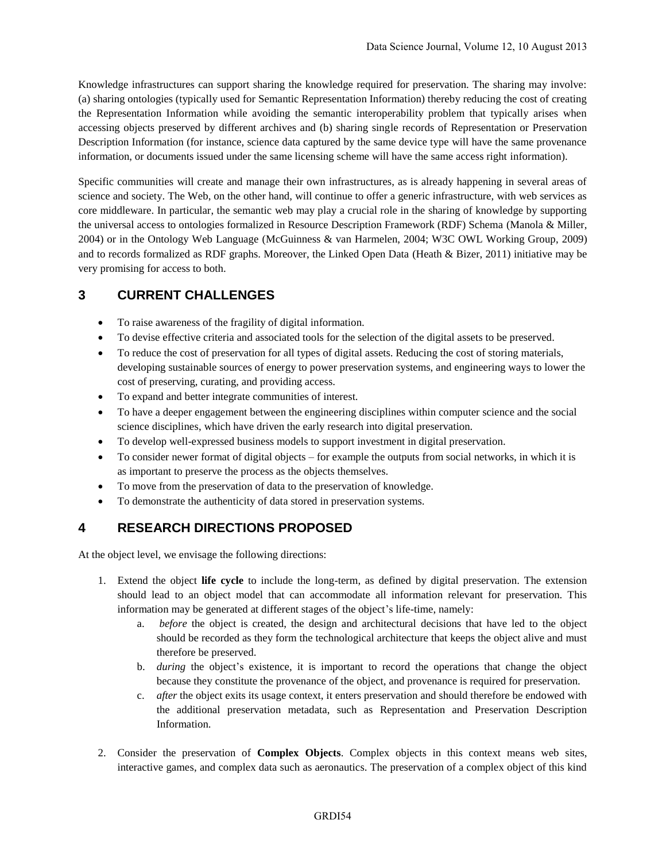Knowledge infrastructures can support sharing the knowledge required for preservation. The sharing may involve: (a) sharing ontologies (typically used for Semantic Representation Information) thereby reducing the cost of creating the Representation Information while avoiding the semantic interoperability problem that typically arises when accessing objects preserved by different archives and (b) sharing single records of Representation or Preservation Description Information (for instance, science data captured by the same device type will have the same provenance information, or documents issued under the same licensing scheme will have the same access right information).

Specific communities will create and manage their own infrastructures, as is already happening in several areas of science and society. The Web, on the other hand, will continue to offer a generic infrastructure, with web services as core middleware. In particular, the semantic web may play a crucial role in the sharing of knowledge by supporting the universal access to ontologies formalized in Resource Description Framework (RDF) Schema (Manola & Miller, 2004) or in the Ontology Web Language (McGuinness & van Harmelen, 2004; W3C OWL Working Group, 2009) and to records formalized as RDF graphs. Moreover, the Linked Open Data (Heath & Bizer, 2011) initiative may be very promising for access to both.

# **3 CURRENT CHALLENGES**

- To raise awareness of the fragility of digital information.
- To devise effective criteria and associated tools for the selection of the digital assets to be preserved.
- To reduce the cost of preservation for all types of digital assets. Reducing the cost of storing materials, developing sustainable sources of energy to power preservation systems, and engineering ways to lower the cost of preserving, curating, and providing access.
- To expand and better integrate communities of interest.
- To have a deeper engagement between the engineering disciplines within computer science and the social science disciplines, which have driven the early research into digital preservation.
- To develop well-expressed business models to support investment in digital preservation.
- To consider newer format of digital objects for example the outputs from social networks, in which it is as important to preserve the process as the objects themselves.
- To move from the preservation of data to the preservation of knowledge.
- To demonstrate the authenticity of data stored in preservation systems.

# **4 RESEARCH DIRECTIONS PROPOSED**

At the object level, we envisage the following directions:

- 1. Extend the object **life cycle** to include the long-term, as defined by digital preservation. The extension should lead to an object model that can accommodate all information relevant for preservation. This information may be generated at different stages of the object's life-time, namely:
	- a. *before* the object is created, the design and architectural decisions that have led to the object should be recorded as they form the technological architecture that keeps the object alive and must therefore be preserved.
	- b. *during* the object's existence, it is important to record the operations that change the object because they constitute the provenance of the object, and provenance is required for preservation.
	- c. *after* the object exits its usage context, it enters preservation and should therefore be endowed with the additional preservation metadata, such as Representation and Preservation Description Information.
- 2. Consider the preservation of **Complex Objects**. Complex objects in this context means web sites, interactive games, and complex data such as aeronautics. The preservation of a complex object of this kind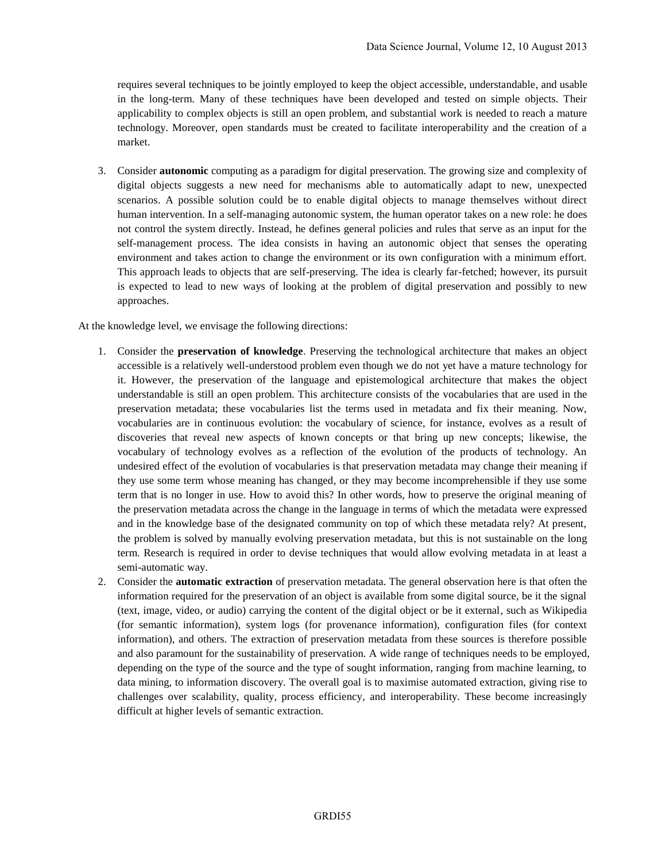requires several techniques to be jointly employed to keep the object accessible, understandable, and usable in the long-term. Many of these techniques have been developed and tested on simple objects. Their applicability to complex objects is still an open problem, and substantial work is needed to reach a mature technology. Moreover, open standards must be created to facilitate interoperability and the creation of a market.

3. Consider **autonomic** computing as a paradigm for digital preservation. The growing size and complexity of digital objects suggests a new need for mechanisms able to automatically adapt to new, unexpected scenarios. A possible solution could be to enable digital objects to manage themselves without direct human intervention. In a self-managing autonomic system, the human operator takes on a new role: he does not control the system directly. Instead, he defines general policies and rules that serve as an input for the self-management process. The idea consists in having an autonomic object that senses the operating environment and takes action to change the environment or its own configuration with a minimum effort. This approach leads to objects that are self-preserving. The idea is clearly far-fetched; however, its pursuit is expected to lead to new ways of looking at the problem of digital preservation and possibly to new approaches.

At the knowledge level, we envisage the following directions:

- 1. Consider the **preservation of knowledge**. Preserving the technological architecture that makes an object accessible is a relatively well-understood problem even though we do not yet have a mature technology for it. However, the preservation of the language and epistemological architecture that makes the object understandable is still an open problem. This architecture consists of the vocabularies that are used in the preservation metadata; these vocabularies list the terms used in metadata and fix their meaning. Now, vocabularies are in continuous evolution: the vocabulary of science, for instance, evolves as a result of discoveries that reveal new aspects of known concepts or that bring up new concepts; likewise, the vocabulary of technology evolves as a reflection of the evolution of the products of technology. An undesired effect of the evolution of vocabularies is that preservation metadata may change their meaning if they use some term whose meaning has changed, or they may become incomprehensible if they use some term that is no longer in use. How to avoid this? In other words, how to preserve the original meaning of the preservation metadata across the change in the language in terms of which the metadata were expressed and in the knowledge base of the designated community on top of which these metadata rely? At present, the problem is solved by manually evolving preservation metadata, but this is not sustainable on the long term. Research is required in order to devise techniques that would allow evolving metadata in at least a semi-automatic way.
- 2. Consider the **automatic extraction** of preservation metadata. The general observation here is that often the information required for the preservation of an object is available from some digital source, be it the signal (text, image, video, or audio) carrying the content of the digital object or be it external, such as Wikipedia (for semantic information), system logs (for provenance information), configuration files (for context information), and others. The extraction of preservation metadata from these sources is therefore possible and also paramount for the sustainability of preservation. A wide range of techniques needs to be employed, depending on the type of the source and the type of sought information, ranging from machine learning, to data mining, to information discovery. The overall goal is to maximise automated extraction, giving rise to challenges over scalability, quality, process efficiency, and interoperability. These become increasingly difficult at higher levels of semantic extraction.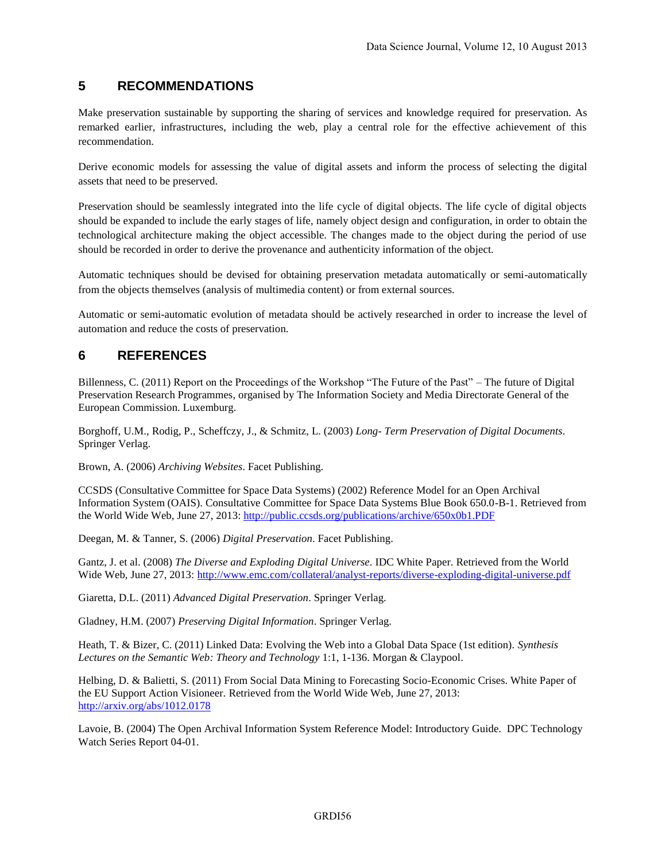# **5 RECOMMENDATIONS**

Make preservation sustainable by supporting the sharing of services and knowledge required for preservation. As remarked earlier, infrastructures, including the web, play a central role for the effective achievement of this recommendation.

Derive economic models for assessing the value of digital assets and inform the process of selecting the digital assets that need to be preserved.

Preservation should be seamlessly integrated into the life cycle of digital objects. The life cycle of digital objects should be expanded to include the early stages of life, namely object design and configuration, in order to obtain the technological architecture making the object accessible. The changes made to the object during the period of use should be recorded in order to derive the provenance and authenticity information of the object.

Automatic techniques should be devised for obtaining preservation metadata automatically or semi-automatically from the objects themselves (analysis of multimedia content) or from external sources.

Automatic or semi-automatic evolution of metadata should be actively researched in order to increase the level of automation and reduce the costs of preservation.

### **6 REFERENCES**

Billenness, C. (2011) Report on the Proceedings of the Workshop "The Future of the Past" – The future of Digital Preservation Research Programmes, organised by The Information Society and Media Directorate General of the European Commission. Luxemburg.

Borghoff, U.M., Rodig, P., Scheffczy, J., & Schmitz, L. (2003) *Long- Term Preservation of Digital Documents*. Springer Verlag.

Brown, A. (2006) *Archiving Websites*. Facet Publishing.

CCSDS (Consultative Committee for Space Data Systems) (2002) Reference Model for an Open Archival Information System (OAIS). Consultative Committee for Space Data Systems Blue Book 650.0-B-1. Retrieved from the World Wide Web, June 27, 2013: <http://public.ccsds.org/publications/archive/650x0b1.PDF>

Deegan, M. & Tanner, S. (2006) *Digital Preservation*. Facet Publishing.

Gantz, J. et al. (2008) *The Diverse and Exploding Digital Universe*. IDC White Paper. Retrieved from the World Wide Web, June 27, 2013:<http://www.emc.com/collateral/analyst-reports/diverse-exploding-digital-universe.pdf>

Giaretta, D.L. (2011) *Advanced Digital Preservation*. Springer Verlag.

Gladney, H.M. (2007) *Preserving Digital Information*. Springer Verlag.

Heath, T. & Bizer, C. (2011) Linked Data: Evolving the Web into a Global Data Space (1st edition). *Synthesis Lectures on the Semantic Web: Theory and Technology* 1:1, 1-136. Morgan & Claypool.

Helbing, D. & Balietti, S. (2011) From Social Data Mining to Forecasting Socio-Economic Crises. White Paper of the EU Support Action Visioneer. Retrieved from the World Wide Web, June 27, 2013: <http://arxiv.org/abs/1012.0178>

Lavoie, B. (2004) The Open Archival Information System Reference Model: Introductory Guide. DPC Technology Watch Series Report 04-01.